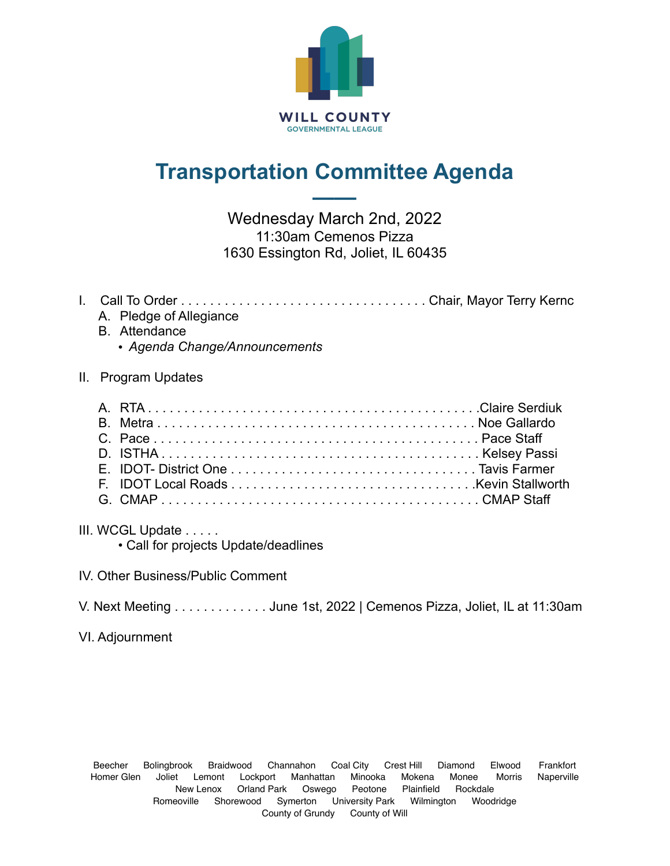

## **Transportation Committee Agenda**

**——**

Wednesday March 2nd, 2022 11:30am Cemenos Pizza 1630 Essington Rd, Joliet, IL 60435

## I. Call To Order . . . . . . . . . . . . . . . . . . . . . . . . . . . . . . . . . . Chair, Mayor Terry Kernc

- A. Pledge of Allegiance
- B. Attendance
	- *Agenda Change/Announcements*

## II. Program Updates

III. WCGL Update . . . . .

• Call for projects Update/deadlines

- IV. Other Business/Public Comment
- V. Next Meeting . . . . . . . . . . . . . June 1st, 2022 | Cemenos Pizza, Joliet, IL at 11:30am

VI. Adjournment

Beecher Bolingbrook Braidwood Channahon Coal City Crest Hill Diamond Elwood Frankfort Homer Glen Joliet Lemont Lockport Manhattan Minooka Mokena Monee Morris Naperville New Lenox Orland Park Oswego Peotone Plainfield Rockdale Romeoville Shorewood Symerton University Park Wilmington Woodridge County of Grundy County of Will